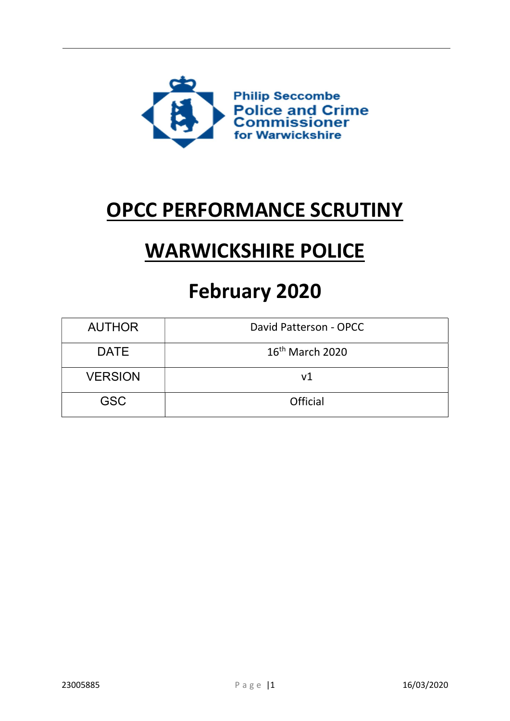

## OPCC PERFORMANCE SCRUTINY

# WARWICKSHIRE POLICE

## February 2020

| <b>AUTHOR</b>  | David Patterson - OPCC      |
|----------------|-----------------------------|
| <b>DATE</b>    | 16 <sup>th</sup> March 2020 |
| <b>VERSION</b> | v <sub>1</sub>              |
| <b>GSC</b>     | Official                    |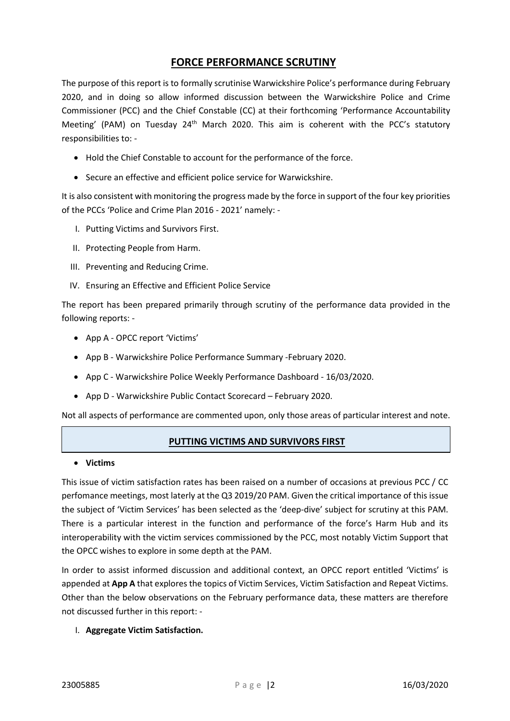## FORCE PERFORMANCE SCRUTINY

The purpose of this report is to formally scrutinise Warwickshire Police's performance during February 2020, and in doing so allow informed discussion between the Warwickshire Police and Crime Commissioner (PCC) and the Chief Constable (CC) at their forthcoming 'Performance Accountability Meeting' (PAM) on Tuesday 24<sup>th</sup> March 2020. This aim is coherent with the PCC's statutory responsibilities to: -

- Hold the Chief Constable to account for the performance of the force.
- Secure an effective and efficient police service for Warwickshire.

It is also consistent with monitoring the progress made by the force in support of the four key priorities of the PCCs 'Police and Crime Plan 2016 - 2021' namely: -

- I. Putting Victims and Survivors First.
- II. Protecting People from Harm.
- III. Preventing and Reducing Crime.
- IV. Ensuring an Effective and Efficient Police Service

The report has been prepared primarily through scrutiny of the performance data provided in the following reports: -

- App A OPCC report 'Victims'
- App B Warwickshire Police Performance Summary -February 2020.
- App C Warwickshire Police Weekly Performance Dashboard 16/03/2020.
- App D Warwickshire Public Contact Scorecard February 2020.

Not all aspects of performance are commented upon, only those areas of particular interest and note.

## PUTTING VICTIMS AND SURVIVORS FIRST

Victims

This issue of victim satisfaction rates has been raised on a number of occasions at previous PCC / CC perfomance meetings, most laterly at the Q3 2019/20 PAM. Given the critical importance of this issue the subject of 'Victim Services' has been selected as the 'deep-dive' subject for scrutiny at this PAM. There is a particular interest in the function and performance of the force's Harm Hub and its interoperability with the victim services commissioned by the PCC, most notably Victim Support that the OPCC wishes to explore in some depth at the PAM.

In order to assist informed discussion and additional context, an OPCC report entitled 'Victims' is appended at App A that explores the topics of Victim Services, Victim Satisfaction and Repeat Victims. Other than the below observations on the February performance data, these matters are therefore not discussed further in this report: -

#### I. Aggregate Victim Satisfaction.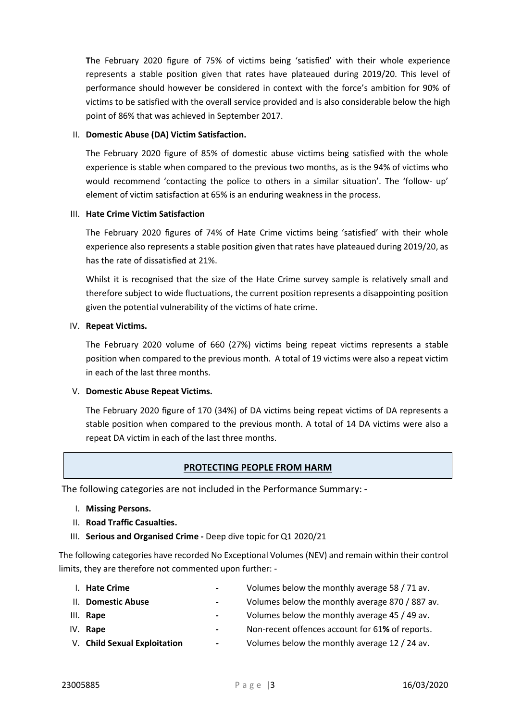The February 2020 figure of 75% of victims being 'satisfied' with their whole experience represents a stable position given that rates have plateaued during 2019/20. This level of performance should however be considered in context with the force's ambition for 90% of victims to be satisfied with the overall service provided and is also considerable below the high point of 86% that was achieved in September 2017.

#### II. Domestic Abuse (DA) Victim Satisfaction.

The February 2020 figure of 85% of domestic abuse victims being satisfied with the whole experience is stable when compared to the previous two months, as is the 94% of victims who would recommend 'contacting the police to others in a similar situation'. The 'follow- up' element of victim satisfaction at 65% is an enduring weakness in the process.

#### III. Hate Crime Victim Satisfaction

The February 2020 figures of 74% of Hate Crime victims being 'satisfied' with their whole experience also represents a stable position given that rates have plateaued during 2019/20, as has the rate of dissatisfied at 21%.

Whilst it is recognised that the size of the Hate Crime survey sample is relatively small and therefore subject to wide fluctuations, the current position represents a disappointing position given the potential vulnerability of the victims of hate crime.

#### IV. Repeat Victims.

The February 2020 volume of 660 (27%) victims being repeat victims represents a stable position when compared to the previous month. A total of 19 victims were also a repeat victim in each of the last three months.

## V. Domestic Abuse Repeat Victims.

The February 2020 figure of 170 (34%) of DA victims being repeat victims of DA represents a stable position when compared to the previous month. A total of 14 DA victims were also a repeat DA victim in each of the last three months.

## PROTECTING PEOPLE FROM HARM

The following categories are not included in the Performance Summary: -

- I. Missing Persons.
- II. Road Traffic Casualties.
- III. Serious and Organised Crime Deep dive topic for Q1 2020/21

The following categories have recorded No Exceptional Volumes (NEV) and remain within their control limits, they are therefore not commented upon further: -

| I. Hate Crime                | $\sim$                   | Volumes below the monthly average 58 / 71 av.   |
|------------------------------|--------------------------|-------------------------------------------------|
| II. Domestic Abuse           | $\overline{\phantom{a}}$ | Volumes below the monthly average 870 / 887 av. |
| III. Rape                    | $\sim$                   | Volumes below the monthly average 45 / 49 av.   |
| $IV.$ Rape                   | $\blacksquare$           | Non-recent offences account for 61% of reports. |
| V. Child Sexual Exploitation | $\sim$                   | Volumes below the monthly average 12 / 24 av.   |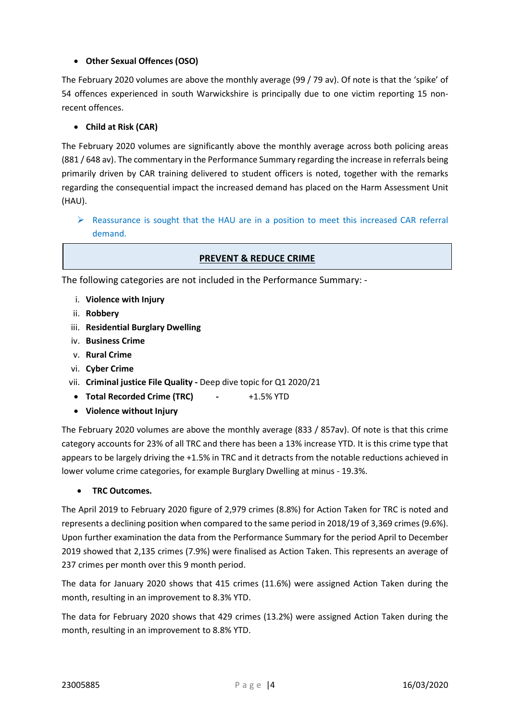## Other Sexual Offences (OSO)

The February 2020 volumes are above the monthly average (99 / 79 av). Of note is that the 'spike' of 54 offences experienced in south Warwickshire is principally due to one victim reporting 15 nonrecent offences.

## Child at Risk (CAR)

The February 2020 volumes are significantly above the monthly average across both policing areas (881 / 648 av). The commentary in the Performance Summary regarding the increase in referrals being primarily driven by CAR training delivered to student officers is noted, together with the remarks regarding the consequential impact the increased demand has placed on the Harm Assessment Unit (HAU).

## $\triangleright$  Reassurance is sought that the HAU are in a position to meet this increased CAR referral demand.

## PREVENT & REDUCE CRIME

The following categories are not included in the Performance Summary: -

- i. Violence with Injury
- ii. Robbery
- iii. Residential Burglary Dwelling
- iv. Business Crime
- v. Rural Crime
- vi. Cyber Crime
- vii. Criminal justice File Quality Deep dive topic for Q1 2020/21
	- Total Recorded Crime (TRC) +1.5% YTD
	- Violence without Injury

The February 2020 volumes are above the monthly average (833 / 857av). Of note is that this crime category accounts for 23% of all TRC and there has been a 13% increase YTD. It is this crime type that appears to be largely driving the +1.5% in TRC and it detracts from the notable reductions achieved in lower volume crime categories, for example Burglary Dwelling at minus - 19.3%.

## **•** TRC Outcomes.

The April 2019 to February 2020 figure of 2,979 crimes (8.8%) for Action Taken for TRC is noted and represents a declining position when compared to the same period in 2018/19 of 3,369 crimes (9.6%). Upon further examination the data from the Performance Summary for the period April to December 2019 showed that 2,135 crimes (7.9%) were finalised as Action Taken. This represents an average of 237 crimes per month over this 9 month period.

The data for January 2020 shows that 415 crimes (11.6%) were assigned Action Taken during the month, resulting in an improvement to 8.3% YTD.

The data for February 2020 shows that 429 crimes (13.2%) were assigned Action Taken during the month, resulting in an improvement to 8.8% YTD.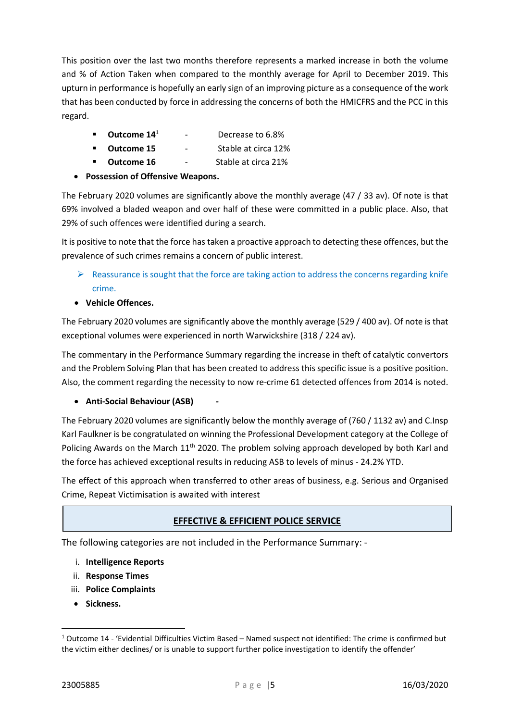This position over the last two months therefore represents a marked increase in both the volume and % of Action Taken when compared to the monthly average for April to December 2019. This upturn in performance is hopefully an early sign of an improving picture as a consequence of the work that has been conducted by force in addressing the concerns of both the HMICFRS and the PCC in this regard.

- Outcome 14<sup>1</sup> Decrease to 6.8%
- Outcome 15 Stable at circa 12%
- **Dutcome 16** Stable at circa 21%
- Possession of Offensive Weapons.

The February 2020 volumes are significantly above the monthly average (47 / 33 av). Of note is that 69% involved a bladed weapon and over half of these were committed in a public place. Also, that 29% of such offences were identified during a search.

It is positive to note that the force has taken a proactive approach to detecting these offences, but the prevalence of such crimes remains a concern of public interest.

- $\triangleright$  Reassurance is sought that the force are taking action to address the concerns regarding knife crime.
- Vehicle Offences.

The February 2020 volumes are significantly above the monthly average (529 / 400 av). Of note is that exceptional volumes were experienced in north Warwickshire (318 / 224 av).

The commentary in the Performance Summary regarding the increase in theft of catalytic convertors and the Problem Solving Plan that has been created to address this specific issue is a positive position. Also, the comment regarding the necessity to now re-crime 61 detected offences from 2014 is noted.

#### • Anti-Social Behaviour (ASB)

The February 2020 volumes are significantly below the monthly average of (760 / 1132 av) and C.Insp Karl Faulkner is be congratulated on winning the Professional Development category at the College of Policing Awards on the March 11<sup>th</sup> 2020. The problem solving approach developed by both Karl and the force has achieved exceptional results in reducing ASB to levels of minus - 24.2% YTD.

The effect of this approach when transferred to other areas of business, e.g. Serious and Organised Crime, Repeat Victimisation is awaited with interest

## **EFFECTIVE & EFFICIENT POLICE SERVICE**

The following categories are not included in the Performance Summary: -

- i. Intelligence Reports
- ii. Response Times
- iii. Police Complaints
- Sickness.

<sup>&</sup>lt;sup>1</sup> Outcome 14 - 'Evidential Difficulties Victim Based – Named suspect not identified: The crime is confirmed but the victim either declines/ or is unable to support further police investigation to identify the offender'